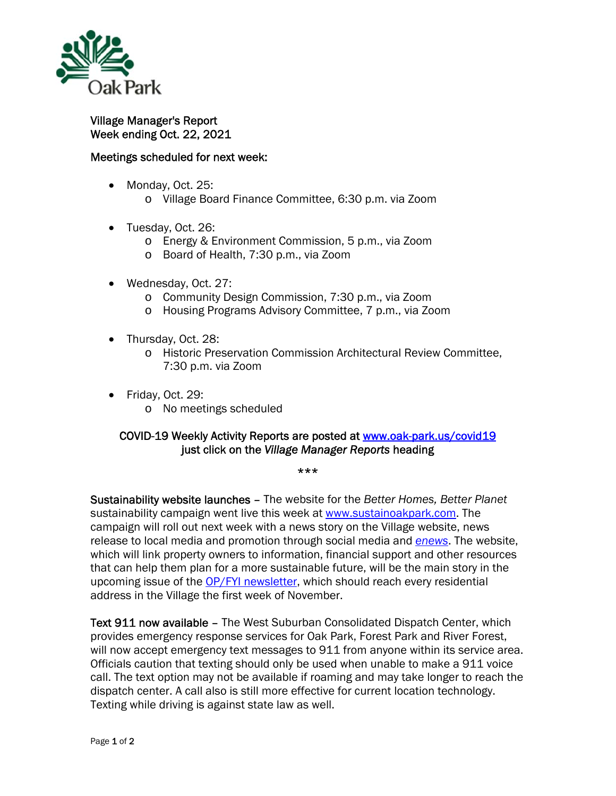

Village Manager's Report Week ending Oct. 22, 2021

## Meetings scheduled for next week:

- Monday, Oct. 25:
	- o Village Board Finance Committee, 6:30 p.m. via Zoom
- Tuesday, Oct. 26:
	- o Energy & Environment Commission, 5 p.m., via Zoom
	- o Board of Health, 7:30 p.m., via Zoom
- Wednesday, Oct. 27:
	- o Community Design Commission, 7:30 p.m., via Zoom
	- o Housing Programs Advisory Committee, 7 p.m., via Zoom
- Thursday, Oct. 28:
	- o Historic Preservation Commission Architectural Review Committee, 7:30 p.m. via Zoom
- Friday, Oct. 29: o No meetings scheduled

## COVID-19 Weekly Activity Reports are posted at www.oak-park.us/covid19 just click on the *Village Manager Reports* heading

\*\*\*

Sustainability website launches – The website for the *Better Homes, Better Planet* sustainability campaign went live this week at www.sustainoakpark.com. The campaign will roll out next week with a news story on the Village website, news release to local media and promotion through social media and *enews*. The website, which will link property owners to information, financial support and other resources that can help them plan for a more sustainable future, will be the main story in the upcoming issue of the OP/FYI newsletter, which should reach every residential address in the Village the first week of November.

Text 911 now available – The West Suburban Consolidated Dispatch Center, which provides emergency response services for Oak Park, Forest Park and River Forest, will now accept emergency text messages to 911 from anyone within its service area. Officials caution that texting should only be used when unable to make a 911 voice call. The text option may not be available if roaming and may take longer to reach the dispatch center. A call also is still more effective for current location technology. Texting while driving is against state law as well.